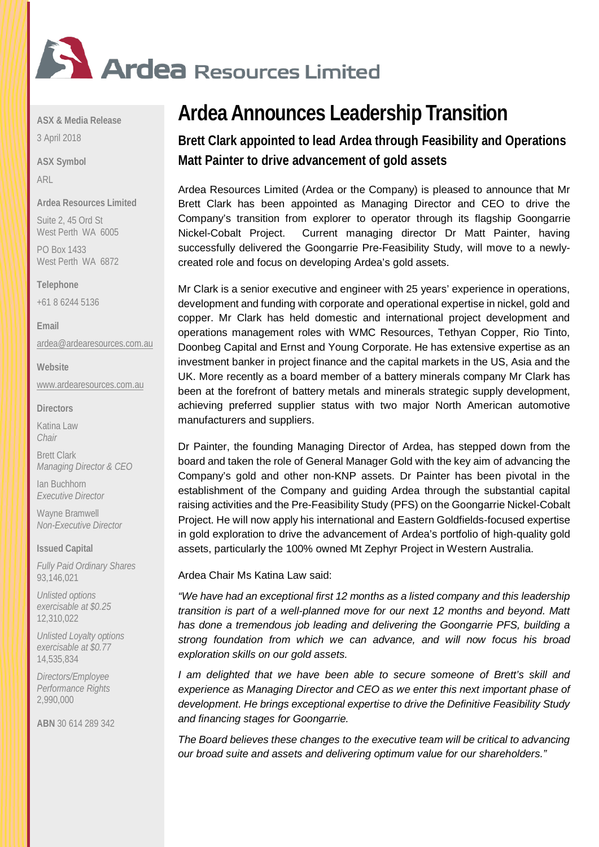

**ASX & Media Release**

3 April 2018

**ASX Symbol** ARL

**Ardea Resources Limited**

Suite 2, 45 Ord St West Perth WA 6005

PO Box 1433 West Perth WA 6872

**Telephone**  +61 8 6244 5136

**Email** [ardea@ardearesources.com.au](mailto:ardea@ardearesources.com.au)

**Website** [www.ardearesources.com.au](http://www.ardearesources.com.au/)

**Directors**

Katina Law *Chair*

Brett Clark *Managing Director & CEO*

Ian Buchhorn *Executive Director*

Wayne Bramwell *Non-Executive Director*

**Issued Capital**

*Fully Paid Ordinary Shares* 93,146,021

*Unlisted options exercisable at \$0.25* 12,310,022

*Unlisted Loyalty options exercisable at \$0.77* 14,535,834

*Directors/Employee Performance Rights* 2,990,000

**ABN** 30 614 289 342

# **Ardea Announces Leadership Transition**

**Brett Clark appointed to lead Ardea through Feasibility and Operations Matt Painter to drive advancement of gold assets**

Ardea Resources Limited (Ardea or the Company) is pleased to announce that Mr Brett Clark has been appointed as Managing Director and CEO to drive the Company's transition from explorer to operator through its flagship Goongarrie Nickel-Cobalt Project. Current managing director Dr Matt Painter, having successfully delivered the Goongarrie Pre-Feasibility Study, will move to a newlycreated role and focus on developing Ardea's gold assets.

Mr Clark is a senior executive and engineer with 25 years' experience in operations, development and funding with corporate and operational expertise in nickel, gold and copper. Mr Clark has held domestic and international project development and operations management roles with WMC Resources, Tethyan Copper, Rio Tinto, Doonbeg Capital and Ernst and Young Corporate. He has extensive expertise as an investment banker in project finance and the capital markets in the US, Asia and the UK. More recently as a board member of a battery minerals company Mr Clark has been at the forefront of battery metals and minerals strategic supply development, achieving preferred supplier status with two major North American automotive manufacturers and suppliers.

Dr Painter, the founding Managing Director of Ardea, has stepped down from the board and taken the role of General Manager Gold with the key aim of advancing the Company's gold and other non-KNP assets. Dr Painter has been pivotal in the establishment of the Company and guiding Ardea through the substantial capital raising activities and the Pre-Feasibility Study (PFS) on the Goongarrie Nickel-Cobalt Project. He will now apply his international and Eastern Goldfields-focused expertise in gold exploration to drive the advancement of Ardea's portfolio of high-quality gold assets, particularly the 100% owned Mt Zephyr Project in Western Australia.

Ardea Chair Ms Katina Law said:

*"We have had an exceptional first 12 months as a listed company and this leadership transition is part of a well-planned move for our next 12 months and beyond. Matt has done a tremendous job leading and delivering the Goongarrie PFS, building a strong foundation from which we can advance, and will now focus his broad exploration skills on our gold assets.*

*I* am delighted that we have been able to secure someone of Brett's skill and *experience as Managing Director and CEO as we enter this next important phase of development. He brings exceptional expertise to drive the Definitive Feasibility Study and financing stages for Goongarrie.* 

*The Board believes these changes to the executive team will be critical to advancing our broad suite and assets and delivering optimum value for our shareholders."*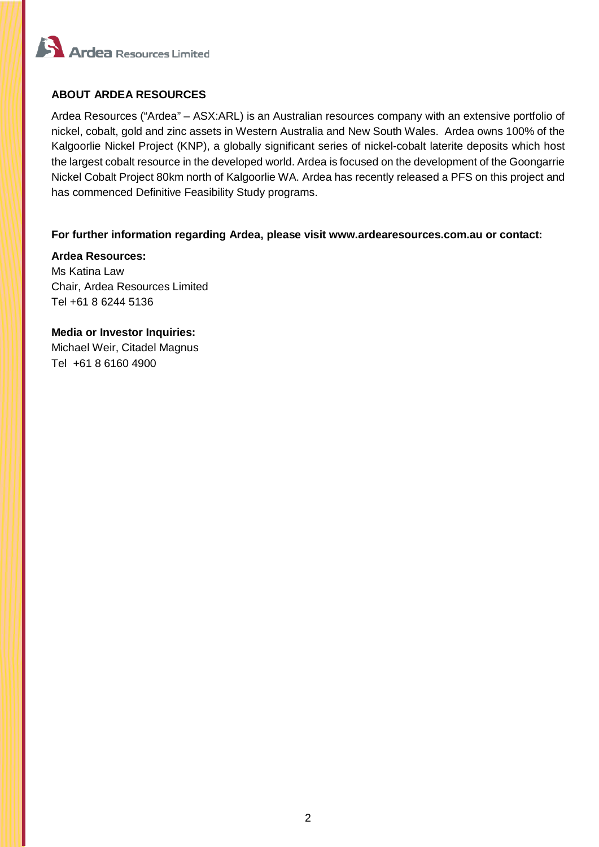

### **ABOUT ARDEA RESOURCES**

Ardea Resources ("Ardea" – ASX:ARL) is an Australian resources company with an extensive portfolio of nickel, cobalt, gold and zinc assets in Western Australia and New South Wales. Ardea owns 100% of the Kalgoorlie Nickel Project (KNP), a globally significant series of nickel-cobalt laterite deposits which host the largest cobalt resource in the developed world. Ardea is focused on the development of the Goongarrie Nickel Cobalt Project 80km north of Kalgoorlie WA. Ardea has recently released a PFS on this project and has commenced Definitive Feasibility Study programs.

#### **For further information regarding Ardea, please visit www.ardearesources.com.au or contact:**

**Ardea Resources:** Ms Katina Law Chair, Ardea Resources Limited Tel +61 8 6244 5136

**Media or Investor Inquiries:** Michael Weir, Citadel Magnus Tel +61 8 6160 4900